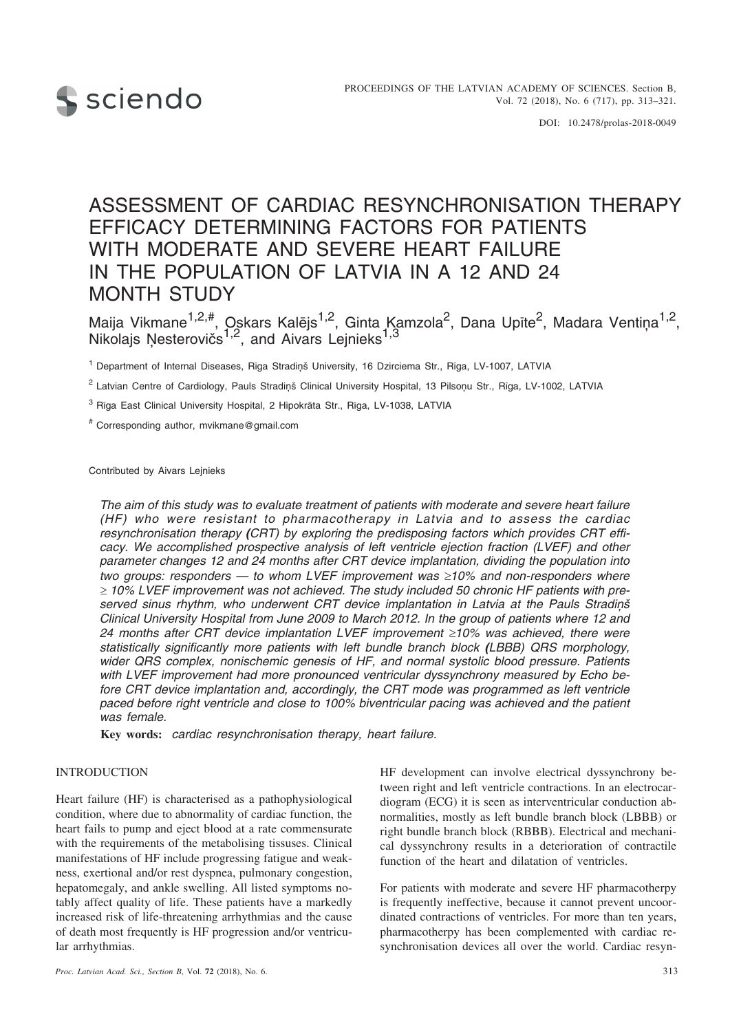

DOI: 10.2478/prolas-2018-0049

# ASSESSMENT OF CARDIAC RESYNCHRONISATION THERAPY EFFICACY DETERMINING FACTORS FOR PATIENTS WITH MODERATE AND SEVERE HEART FAILURE IN THE POPULATION OF LATVIA IN A 12 AND 24 MONTH STUDY

Maija Vikmane<sup>1,2,#</sup>, Oskars Kalējs<sup>1,2</sup>, Ginta Kamzola<sup>2</sup>, Dana Upīte<sup>2</sup>, Madara Ventiņa<sup>1,2</sup>, Nikolajs Ņesterovičs<sup>1,2</sup>, and Aivars Lejnieks<sup>1,3</sup>

<sup>1</sup> Department of Internal Diseases, Rīga Stradiņš University, 16 Dzirciema Str., Rīga, LV-1007, LATVIA

<sup>2</sup> Latvian Centre of Cardiology, Pauls Stradinš Clinical University Hospital, 13 Pilsonu Str., Rîga, LV-1002, LATVIA

<sup>3</sup> Rîga East Clinical University Hospital, 2 Hipokrâta Str., Rîga, LV-1038, LATVIA

# Corresponding author, mvikmane@gmail.com

Contributed by Aivars Lejnieks

*The aim of this study was to evaluate treatment of patients with moderate and severe heart failure (HF) who were resistant to pharmacotherapy in Latvia and to assess the cardiac resynchronisation therapy (CRT) by exploring the predisposing factors which provides CRT efficacy. We accomplished prospective analysis of left ventricle ejection fraction (LVEF) and other parameter changes 12 and 24 months after CRT device implantation, dividing the population into two groups: responders — to whom LVEF improvement was -10% and non-responders where - 10% LVEF improvement was not achieved. The study included 50 chronic HF patients with preserved sinus rhythm, who underwent CRT device implantation in Latvia at the Pauls Stradiòð Clinical University Hospital from June 2009 to March 2012. In the group of patients where 12 and 24 months after CRT device implantation LVEF improvement -10% was achieved, there were statistically significantly more patients with left bundle branch block (LBBB) QRS morphology, wider QRS complex, nonischemic genesis of HF, and normal systolic blood pressure. Patients with LVEF improvement had more pronounced ventricular dyssynchrony measured by Echo before CRT device implantation and, accordingly, the CRT mode was programmed as left ventricle paced before right ventricle and close to 100% biventricular pacing was achieved and the patient was female.*

**Key words:** *cardiac resynchronisation therapy, heart failure.*

# **INTRODUCTION**

Heart failure (HF) is characterised as a pathophysiological condition, where due to abnormality of cardiac function, the heart fails to pump and eject blood at a rate commensurate with the requirements of the metabolising tissuses. Clinical manifestations of HF include progressing fatigue and weakness, exertional and/or rest dyspnea, pulmonary congestion, hepatomegaly, and ankle swelling. All listed symptoms notably affect quality of life. These patients have a markedly increased risk of life-threatening arrhythmias and the cause of death most frequently is HF progression and/or ventricular arrhythmias.

HF development can involve electrical dyssynchrony between right and left ventricle contractions. In an electrocardiogram (ECG) it is seen as interventricular conduction abnormalities, mostly as left bundle branch block (LBBB) or right bundle branch block (RBBB). Electrical and mechanical dyssynchrony results in a deterioration of contractile function of the heart and dilatation of ventricles.

For patients with moderate and severe HF pharmacotherpy is frequently ineffective, because it cannot prevent uncoordinated contractions of ventricles. For more than ten years, pharmacotherpy has been complemented with cardiac resynchronisation devices all over the world. Cardiac resyn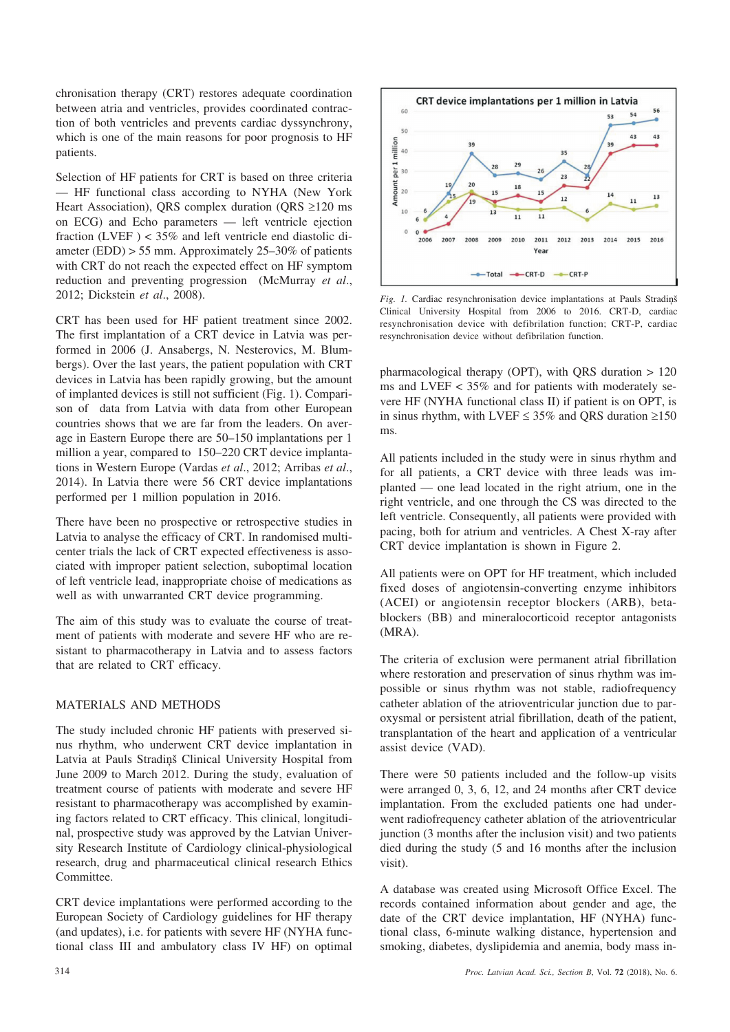chronisation therapy (CRT) restores adequate coordination between atria and ventricles, provides coordinated contraction of both ventricles and prevents cardiac dyssynchrony, which is one of the main reasons for poor prognosis to HF patients.

Selection of HF patients for CRT is based on three criteria — HF functional class according to NYHA (New York Heart Association), QRS complex duration (QRS  $\geq$ 120 ms on ECG) and Echo parameters — left ventricle ejection fraction (LVEF ) < 35% and left ventricle end diastolic diameter (EDD) > 55 mm. Approximately 25–30% of patients with CRT do not reach the expected effect on HF symptom reduction and preventing progression (McMurray *et al*., 2012; Dickstein *et al*., 2008).

CRT has been used for HF patient treatment since 2002. The first implantation of a CRT device in Latvia was performed in 2006 (J. Ansabergs, N. Nesterovics, M. Blumbergs). Over the last years, the patient population with CRT devices in Latvia has been rapidly growing, but the amount of implanted devices is still not sufficient (Fig. 1). Comparison of data from Latvia with data from other European countries shows that we are far from the leaders. On average in Eastern Europe there are 50–150 implantations per 1 million a year, compared to 150–220 CRT device implantations in Western Europe (Vardas *et al*., 2012; Arribas *et al*., 2014). In Latvia there were 56 CRT device implantations performed per 1 million population in 2016.

There have been no prospective or retrospective studies in Latvia to analyse the efficacy of CRT. In randomised multicenter trials the lack of CRT expected effectiveness is associated with improper patient selection, suboptimal location of left ventricle lead, inappropriate choise of medications as well as with unwarranted CRT device programming.

The aim of this study was to evaluate the course of treatment of patients with moderate and severe HF who are resistant to pharmacotherapy in Latvia and to assess factors that are related to CRT efficacy.

## MATERIALS AND METHODS

The study included chronic HF patients with preserved sinus rhythm, who underwent CRT device implantation in Latvia at Pauls Stradinš Clinical University Hospital from June 2009 to March 2012. During the study, evaluation of treatment course of patients with moderate and severe HF resistant to pharmacotherapy was accomplished by examining factors related to CRT efficacy. This clinical, longitudinal, prospective study was approved by the Latvian University Research Institute of Cardiology clinical-physiological research, drug and pharmaceutical clinical research Ethics Committee.

CRT device implantations were performed according to the European Society of Cardiology guidelines for HF therapy (and updates), i.e. for patients with severe HF (NYHA functional class III and ambulatory class IV HF) on optimal



*Fig. 1.* Cardiac resynchronisation device implantations at Pauls Stradinš Clinical University Hospital from 2006 to 2016. CRT-D, cardiac resynchronisation device with defibrilation function; CRT-P, cardiac resynchronisation device without defibrilation function.

pharmacological therapy (OPT), with QRS duration > 120 ms and LVEF  $<$  35% and for patients with moderately severe HF (NYHA functional class II) if patient is on OPT, is in sinus rhythm, with LVEF  $\leq$  35% and QRS duration  $\geq$ 150 ms.

All patients included in the study were in sinus rhythm and for all patients, a CRT device with three leads was implanted — one lead located in the right atrium, one in the right ventricle, and one through the CS was directed to the left ventricle. Consequently, all patients were provided with pacing, both for atrium and ventricles. A Chest X-ray after CRT device implantation is shown in Figure 2.

All patients were on OPT for HF treatment, which included fixed doses of angiotensin-converting enzyme inhibitors (ACEI) or angiotensin receptor blockers (ARB), betablockers (BB) and mineralocorticoid receptor antagonists (MRA).

The criteria of exclusion were permanent atrial fibrillation where restoration and preservation of sinus rhythm was impossible or sinus rhythm was not stable, radiofrequency catheter ablation of the atrioventricular junction due to paroxysmal or persistent atrial fibrillation, death of the patient, transplantation of the heart and application of a ventricular assist device (VAD).

There were 50 patients included and the follow-up visits were arranged 0, 3, 6, 12, and 24 months after CRT device implantation. From the excluded patients one had underwent radiofrequency catheter ablation of the atrioventricular junction (3 months after the inclusion visit) and two patients died during the study (5 and 16 months after the inclusion visit).

A database was created using Microsoft Office Excel. The records contained information about gender and age, the date of the CRT device implantation, HF (NYHA) functional class, 6-minute walking distance, hypertension and smoking, diabetes, dyslipidemia and anemia, body mass in-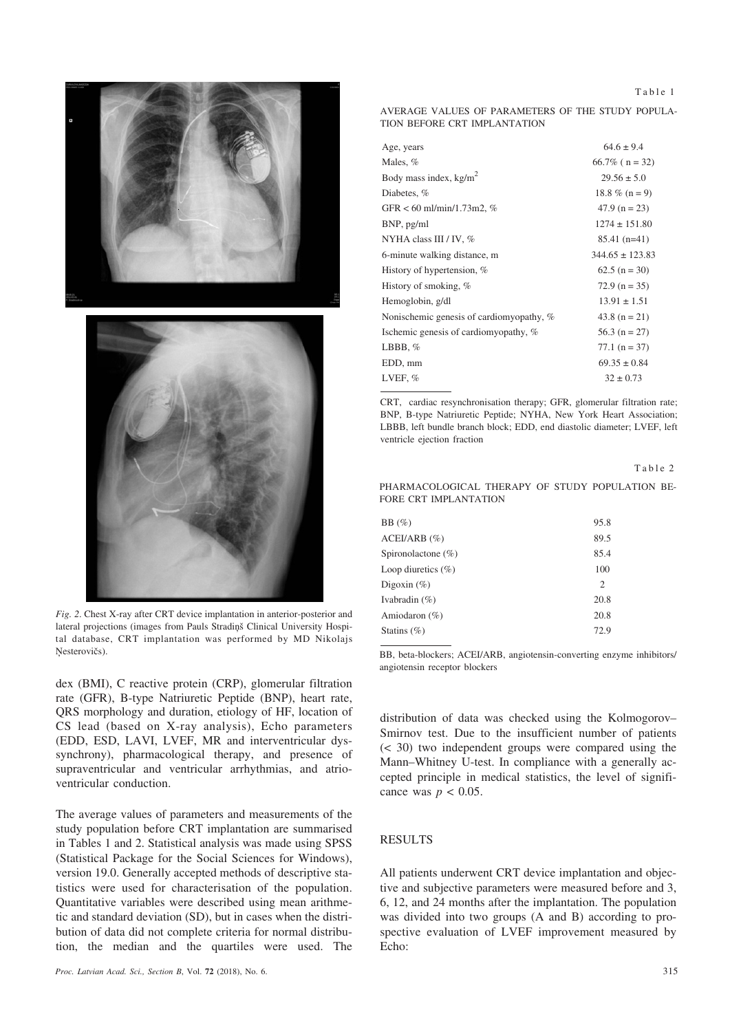Table 1





*Fig. 2*. Chest X-ray after CRT device implantation in anterior-posterior and lateral projections (images from Pauls Stradinš Clinical University Hospital database, CRT implantation was performed by MD Nikolajs Nesterovičs).

dex (BMI), C reactive protein (CRP), glomerular filtration rate (GFR), B-type Natriuretic Peptide (BNP), heart rate, QRS morphology and duration, etiology of HF, location of CS lead (based on X-ray analysis), Echo parameters (EDD, ESD, LAVI, LVEF, MR and interventricular dyssynchrony), pharmacological therapy, and presence of supraventricular and ventricular arrhythmias, and atrioventricular conduction.

The average values of parameters and measurements of the study population before CRT implantation are summarised in Tables 1 and 2. Statistical analysis was made using SPSS (Statistical Package for the Social Sciences for Windows), version 19.0. Generally accepted methods of descriptive statistics were used for characterisation of the population. Quantitative variables were described using mean arithmetic and standard deviation (SD), but in cases when the distribution of data did not complete criteria for normal distribution, the median and the quartiles were used. The

AVERAGE VALUES OF PARAMETERS OF THE STUDY POPULA-TION BEFORE CRT IMPLANTATION

| Males, %                                 | $66.7\%$ ( n = 32)<br>$29.56 \pm 5.0$ |
|------------------------------------------|---------------------------------------|
|                                          |                                       |
| Body mass index, $kg/m2$                 |                                       |
| Diabetes, %                              | 18.8 % ( $n = 9$ )                    |
| GFR $< 60$ ml/min/1.73m2, %              | $47.9$ (n = 23)                       |
| BNP, pg/ml                               | $1274 \pm 151.80$                     |
| NYHA class III / IV, %                   | $85.41(n=41)$                         |
| 6-minute walking distance, m             | $344.65 \pm 123.83$                   |
| History of hypertension, %               | $62.5(n = 30)$                        |
| History of smoking, %                    | $72.9$ (n = 35)                       |
| Hemoglobin, g/dl                         | $13.91 \pm 1.51$                      |
| Nonischemic genesis of cardiomyopathy, % | 43.8 ( $n = 21$ )                     |
| Ischemic genesis of cardiomyopathy, %    | 56.3 ( $n = 27$ )                     |
| LBBB, $%$                                | $77.1 (n = 37)$                       |
| EDD, mm                                  | $69.35 \pm 0.84$                      |
| LVEF, %                                  | $32 \pm 0.73$                         |

CRT, cardiac resynchronisation therapy; GFR, glomerular filtration rate; BNP, B-type Natriuretic Peptide; NYHA, New York Heart Association; LBBB, left bundle branch block; EDD, end diastolic diameter; LVEF, left ventricle ejection fraction

|--|--|--|--|

PHARMACOLOGICAL THERAPY OF STUDY POPULATION BE-FORE CRT IMPLANTATION

| BB(%)                  | 95.8                          |
|------------------------|-------------------------------|
| $ACEUARB$ (%)          | 89.5                          |
| Spironolactone $(\% )$ | 85.4                          |
| Loop diuretics $(\% )$ | 100                           |
| Digoxin $(\% )$        | $\mathfrak{D}_{\mathfrak{p}}$ |
| Ivabradin $(\% )$      | 20.8                          |
| Amiodaron $(\%)$       | 20.8                          |
| Statins $(\% )$        | 72.9                          |
|                        |                               |

BB, beta-blockers; ACEI/ARB, angiotensin-converting enzyme inhibitors/ angiotensin receptor blockers

distribution of data was checked using the Kolmogorov– Smirnov test. Due to the insufficient number of patients (< 30) two independent groups were compared using the Mann–Whitney U-test. In compliance with a generally accepted principle in medical statistics, the level of significance was  $p < 0.05$ .

# RESULTS

All patients underwent CRT device implantation and objective and subjective parameters were measured before and 3, 6, 12, and 24 months after the implantation. The population was divided into two groups (A and B) according to prospective evaluation of LVEF improvement measured by Echo: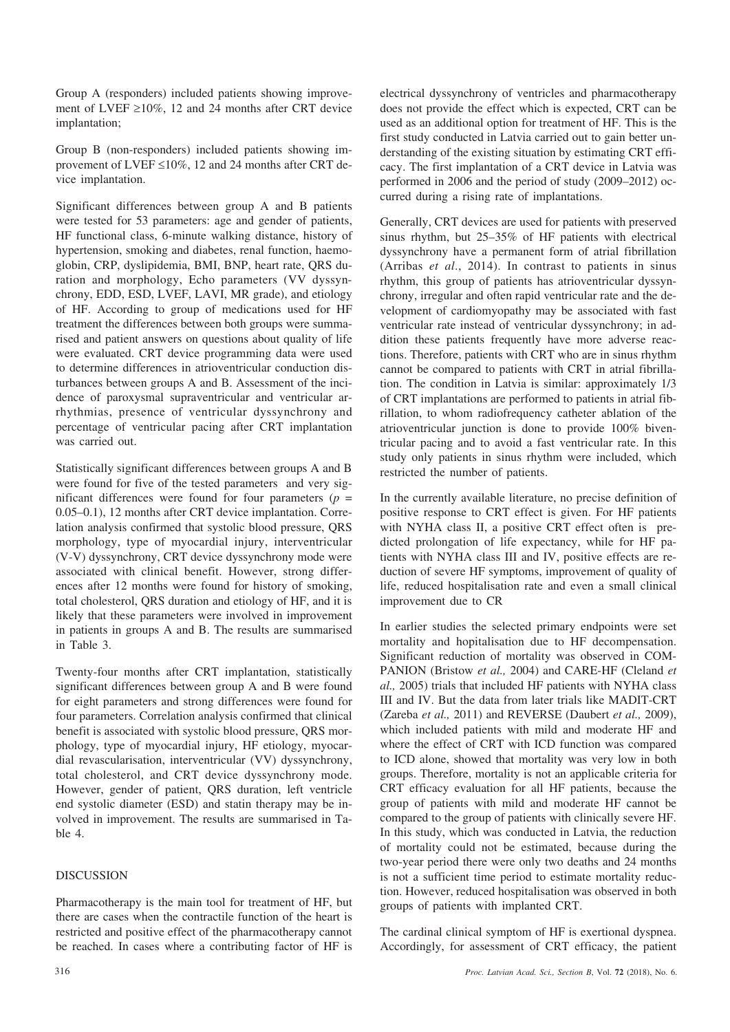Group A (responders) included patients showing improvement of LVEF  $\geq$ 10%, 12 and 24 months after CRT device implantation;

Group B (non-responders) included patients showing improvement of LVEF  $\leq 10\%$ , 12 and 24 months after CRT device implantation.

Significant differences between group A and B patients were tested for 53 parameters: age and gender of patients, HF functional class, 6-minute walking distance, history of hypertension, smoking and diabetes, renal function, haemoglobin, CRP, dyslipidemia, BMI, BNP, heart rate, QRS duration and morphology, Echo parameters (VV dyssynchrony, EDD, ESD, LVEF, LAVI, MR grade), and etiology of HF. According to group of medications used for HF treatment the differences between both groups were summarised and patient answers on questions about quality of life were evaluated. CRT device programming data were used to determine differences in atrioventricular conduction disturbances between groups A and B. Assessment of the incidence of paroxysmal supraventricular and ventricular arrhythmias, presence of ventricular dyssynchrony and percentage of ventricular pacing after CRT implantation was carried out.

Statistically significant differences between groups A and B were found for five of the tested parameters and very significant differences were found for four parameters  $(p =$ 0.05–0.1), 12 months after CRT device implantation. Correlation analysis confirmed that systolic blood pressure, QRS morphology, type of myocardial injury, interventricular (V-V) dyssynchrony, CRT device dyssynchrony mode were associated with clinical benefit. However, strong differences after 12 months were found for history of smoking, total cholesterol, QRS duration and etiology of HF, and it is likely that these parameters were involved in improvement in patients in groups A and B. The results are summarised in Table 3.

Twenty-four months after CRT implantation, statistically significant differences between group A and B were found for eight parameters and strong differences were found for four parameters. Correlation analysis confirmed that clinical benefit is associated with systolic blood pressure, QRS morphology, type of myocardial injury, HF etiology, myocardial revascularisation, interventricular (VV) dyssynchrony, total cholesterol, and CRT device dyssynchrony mode. However, gender of patient, QRS duration, left ventricle end systolic diameter (ESD) and statin therapy may be involved in improvement. The results are summarised in Table 4.

## DISCUSSION

Pharmacotherapy is the main tool for treatment of HF, but there are cases when the contractile function of the heart is restricted and positive effect of the pharmacotherapy cannot be reached. In cases where a contributing factor of HF is electrical dyssynchrony of ventricles and pharmacotherapy does not provide the effect which is expected, CRT can be used as an additional option for treatment of HF. This is the first study conducted in Latvia carried out to gain better understanding of the existing situation by estimating CRT efficacy. The first implantation of a CRT device in Latvia was performed in 2006 and the period of study (2009–2012) occurred during a rising rate of implantations.

Generally, CRT devices are used for patients with preserved sinus rhythm, but 25–35% of HF patients with electrical dyssynchrony have a permanent form of atrial fibrillation (Arribas *et al*., 2014). In contrast to patients in sinus rhythm, this group of patients has atrioventricular dyssynchrony, irregular and often rapid ventricular rate and the development of cardiomyopathy may be associated with fast ventricular rate instead of ventricular dyssynchrony; in addition these patients frequently have more adverse reactions. Therefore, patients with CRT who are in sinus rhythm cannot be compared to patients with CRT in atrial fibrillation. The condition in Latvia is similar: approximately 1/3 of CRT implantations are performed to patients in atrial fibrillation, to whom radiofrequency catheter ablation of the atrioventricular junction is done to provide 100% biventricular pacing and to avoid a fast ventricular rate. In this study only patients in sinus rhythm were included, which restricted the number of patients.

In the currently available literature, no precise definition of positive response to CRT effect is given. For HF patients with NYHA class II, a positive CRT effect often is predicted prolongation of life expectancy, while for HF patients with NYHA class III and IV, positive effects are reduction of severe HF symptoms, improvement of quality of life, reduced hospitalisation rate and even a small clinical improvement due to CR

In earlier studies the selected primary endpoints were set mortality and hopitalisation due to HF decompensation. Significant reduction of mortality was observed in COM-PANION (Bristow *et al.,* 2004) and CARE-HF (Cleland *et al.,* 2005) trials that included HF patients with NYHA class III and IV. But the data from later trials like MADIT-CRT (Zareba *et al.,* 2011) and REVERSE (Daubert *et al.,* 2009), which included patients with mild and moderate HF and where the effect of CRT with ICD function was compared to ICD alone, showed that mortality was very low in both groups. Therefore, mortality is not an applicable criteria for CRT efficacy evaluation for all HF patients, because the group of patients with mild and moderate HF cannot be compared to the group of patients with clinically severe HF. In this study, which was conducted in Latvia, the reduction of mortality could not be estimated, because during the two-year period there were only two deaths and 24 months is not a sufficient time period to estimate mortality reduction. However, reduced hospitalisation was observed in both groups of patients with implanted CRT.

The cardinal clinical symptom of HF is exertional dyspnea. Accordingly, for assessment of CRT efficacy, the patient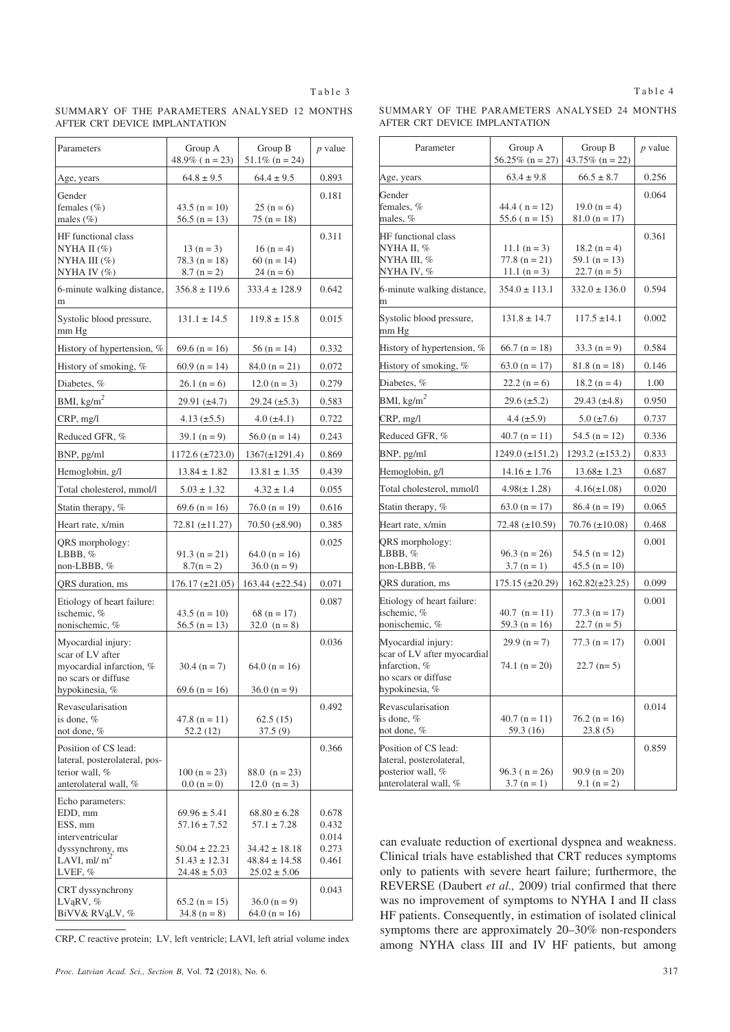SUMMARY OF THE PARAMETERS ANALYSED 12 MONTHS AFTER CRT DEVICE IMPLANTATION

| Parameters                                   | Group A<br>$48.9\%$ ( n = 23)      | Group B<br>$51.1\%$ (n = 24)      | <i>p</i> value |
|----------------------------------------------|------------------------------------|-----------------------------------|----------------|
| Age, years                                   | $64.8 \pm 9.5$                     | $64.4 \pm 9.5$                    | 0.893          |
| Gender                                       |                                    |                                   | 0.181          |
| females $(\% )$<br>males $(\%)$              | $43.5 (n = 10)$<br>$56.5$ (n = 13) | $25(n=6)$<br>$75(n = 18)$         |                |
| HF functional class                          |                                    |                                   | 0.311          |
| NYHA II $(\%)$                               | $13(n=3)$                          | $16(n=4)$                         |                |
| NYHA III (%)                                 | $78.3 (n = 18)$                    | $60 (n = 14)$                     |                |
| NYHA IV $(\%)$                               | $8.7 (n = 2)$                      | $24(n=6)$                         |                |
| 6-minute walking distance,<br>m              | $356.8 \pm 119.6$                  | $333.4 \pm 128.9$                 | 0.642          |
| Systolic blood pressure,<br>mm Hg            | $131.1 \pm 14.5$                   | $119.8 \pm 15.8$                  | 0.015          |
| History of hypertension, %                   | $69.6$ (n = 16)                    | $56(n = 14)$                      | 0.332          |
| History of smoking, %                        | $60.9$ (n = 14)                    | $84.0 (n = 21)$                   | 0.072          |
| Diabetes, %                                  | $26.1 (n = 6)$                     | $12.0 (n = 3)$                    | 0.279          |
| BMI, $\text{kg/m}^2$                         | $29.91 (\pm 4.7)$                  | $29.24 (\pm 5.3)$                 | 0.583          |
| CRP, mg/l                                    | 4.13 $(\pm 5.5)$                   | $4.0$ ( $\pm 4.1$ )               | 0.722          |
| Reduced GFR, %                               | 39.1 $(n = 9)$                     | $56.0 (n = 14)$                   | 0.243          |
| BNP, pg/ml                                   | $1172.6 (\pm 723.0)$               | $1367(\pm 1291.4)$                | 0.869          |
| Hemoglobin, g/l                              | $13.84 \pm 1.82$                   | $13.81 \pm 1.35$                  | 0.439          |
| Total cholesterol, mmol/l                    | $5.03 \pm 1.32$                    | $4.32 \pm 1.4$                    | 0.055          |
| Statin therapy, %                            | $69.6$ (n = 16)                    | $76.0 (n = 19)$                   | 0.616          |
| Heart rate, x/min                            | 72.81 (±11.27)                     | $70.50 (\pm 8.90)$                | 0.385          |
| QRS morphology:                              |                                    |                                   | 0.025          |
| LBBB, $%$                                    | $91.3(n = 21)$                     | $64.0 (n = 16)$                   |                |
| non-LBBB, %                                  | $8.7(n = 2)$                       | $36.0 (n = 9)$                    |                |
| QRS duration, ms                             | $176.17 \ (\pm 21.05)$             | 163.44 (±22.54)                   | 0.071          |
| Etiology of heart failure:<br>ischemic, %    | $43.5 (n = 10)$                    | 68 ( $n = 17$ )                   | 0.087          |
| nonischemic, %                               | 56.5 $(n = 13)$                    | 32.0 $(n = 8)$                    |                |
| Myocardial injury:                           |                                    |                                   | 0.036          |
| scar of LV after<br>myocardial infarction, % | $30.4 (n = 7)$                     | $64.0 (n = 16)$                   |                |
| no scars or diffuse                          |                                    |                                   |                |
| hypokinesia, %                               | 69.6 ( $n = 16$ )                  | $36.0 (n = 9)$                    |                |
| Revascularisation                            |                                    |                                   | 0.492          |
| is done, %<br>not done, %                    | $47.8$ (n = 11)<br>52.2(12)        | 62.5(15)<br>37.5(9)               |                |
| Position of CS lead:                         |                                    |                                   | 0.366          |
| lateral, posterolateral, pos-                |                                    |                                   |                |
| terior wall, %<br>anterolateral wall, %      | $100(n = 23)$<br>$0.0 (n = 0)$     | 88.0 $(n = 23)$<br>12.0 $(n = 3)$ |                |
| Echo parameters:                             |                                    |                                   |                |
| EDD, mm                                      | $69.96 \pm 5.41$                   | $68.80 \pm 6.28$                  | 0.678          |
| ESS, mm                                      | $57.16 \pm 7.52$                   | $57.1 \pm 7.28$                   | 0.432          |
| interventricular<br>dyssynchrony, ms         | $50.04 \pm 22.23$                  | $34.42 \pm 18.18$                 | 0.014<br>0.273 |
| LAVI, ml/ $m2$                               | $51.43 \pm 12.31$                  | $48.84 \pm 14.58$                 | 0.461          |
| LVEF, $%$                                    | $24.48 \pm 5.03$                   | $25.02 \pm 5.06$                  |                |
| CRT dyssynchrony<br>LVąRV, %                 | $65.2 (n = 15)$                    | $36.0 (n = 9)$                    | 0.043          |
| BiVV& RVąLV, %                               | $34.8 (n = 8)$                     | $64.0 (n = 16)$                   |                |

CRP, C reactive protein; LV, left ventricle; LAVI, left atrial volume index

SUMMARY OF THE PARAMETERS ANALYSED 24 MONTHS AFTER CRT DEVICE IMPLANTATION

| Parameter                                                                                                   | Group A<br>$56.25\%$ (n = 27)                       | Group B<br>43.75% ( $n = 22$ )                     | $p$ value |
|-------------------------------------------------------------------------------------------------------------|-----------------------------------------------------|----------------------------------------------------|-----------|
| Age, years                                                                                                  | $63.4 \pm 9.8$                                      | $66.5 \pm 8.7$                                     | 0.256     |
| Gender<br>females, %<br>males, %                                                                            | 44.4 ( $n = 12$ )<br>55.6 ( $n = 15$ )              | 19.0 ( $n = 4$ )<br>$81.0 (n = 17)$                | 0.064     |
| HF functional class<br>NYHA II, %<br>NYHA III. %<br>NYHA IV, %                                              | $11.1 (n = 3)$<br>$77.8$ (n = 21)<br>11.1 $(n = 3)$ | $18.2 (n = 4)$<br>59.1 ( $n = 13$ )<br>$22.7(n=5)$ | 0.361     |
| 6-minute walking distance,<br>m                                                                             | $354.0 \pm 113.1$                                   | $332.0 \pm 136.0$                                  | 0.594     |
| Systolic blood pressure,<br>mm Hg                                                                           | $131.8 \pm 14.7$                                    | $117.5 \pm 14.1$                                   | 0.002     |
| History of hypertension, %                                                                                  | $66.7$ (n = 18)                                     | $33.3(n=9)$                                        | 0.584     |
| History of smoking, %                                                                                       | $63.0 (n = 17)$                                     | $81.8$ (n = 18)                                    | 0.146     |
| Diabetes, %                                                                                                 | $22.2(n=6)$                                         | $18.2 (n = 4)$                                     | 1.00      |
| BMI, $\text{kg/m}^2$                                                                                        | $29.6 (\pm 5.2)$                                    | $29.43 \ (\pm 4.8)$                                | 0.950     |
| CRP, mg/l                                                                                                   | $4.4 (\pm 5.9)$                                     | $5.0 \ (\pm 7.6)$                                  | 0.737     |
| Reduced GFR, %                                                                                              | $40.7$ (n = 11)                                     | 54.5 ( $n = 12$ )                                  | 0.336     |
| BNP, pg/ml                                                                                                  | $1249.0 (\pm 151.2)$                                | $1293.2 \ (\pm 153.2)$                             | 0.833     |
| Hemoglobin, g/l                                                                                             | $14.16 \pm 1.76$                                    | $13.68 \pm 1.23$                                   | 0.687     |
| Total cholesterol, mmol/l                                                                                   | $4.98(\pm 1.28)$                                    | $4.16(\pm 1.08)$                                   | 0.020     |
| Statin therapy, %                                                                                           | $63.0 (n = 17)$                                     | $86.4 (n = 19)$                                    | 0.065     |
| Heart rate, x/min                                                                                           | 72.48 (±10.59)                                      | $70.76 \ (\pm 10.08)$                              | 0.468     |
| QRS morphology:<br>LBBB, %<br>non-LBBB, %                                                                   | $96.3$ (n = 26)<br>$3.7 (n = 1)$                    | 54.5 ( $n = 12$ )<br>$45.5 (n = 10)$               | 0.001     |
| QRS duration, ms                                                                                            | $175.15 \ (\pm 20.29)$                              | $162.82(\pm 23.25)$                                | 0.099     |
| Etiology of heart failure:<br>ischemic, %<br>nonischemic. %                                                 | 40.7 $(n = 11)$<br>59.3 (n = 16)                    | $77.3(n = 17)$<br>$22.7(n=5)$                      | 0.001     |
| Myocardial injury:<br>scar of LV after myocardial<br>infarction, %<br>no scars or diffuse<br>hypokinesia, % | $29.9 (n = 7)$<br>74.1 ( $n = 20$ )                 | $77.3$ (n = 17)<br>$22.7$ (n= 5)                   | 0.001     |
| Revascularisation<br>is done, %<br>not done, %                                                              | $40.7$ (n = 11)<br>59.3 (16)                        | $76.2$ (n = 16)<br>23.8(5)                         | 0.014     |
| Position of CS lead:<br>lateral, posterolateral,<br>posterior wall, %                                       | $96.3$ ( n = 26)                                    | $90.9 (n = 20)$                                    | 0.859     |
| anterolateral wall, %                                                                                       | $3.7 (n = 1)$                                       | $9.1 (n = 2)$                                      |           |

can evaluate reduction of exertional dyspnea and weakness. Clinical trials have established that CRT reduces symptoms only to patients with severe heart failure; furthermore, the REVERSE (Daubert *et al.,* 2009) trial confirmed that there was no improvement of symptoms to NYHA I and II class HF patients. Consequently, in estimation of isolated clinical symptoms there are approximately 20–30% non-responders among NYHA class III and IV HF patients, but among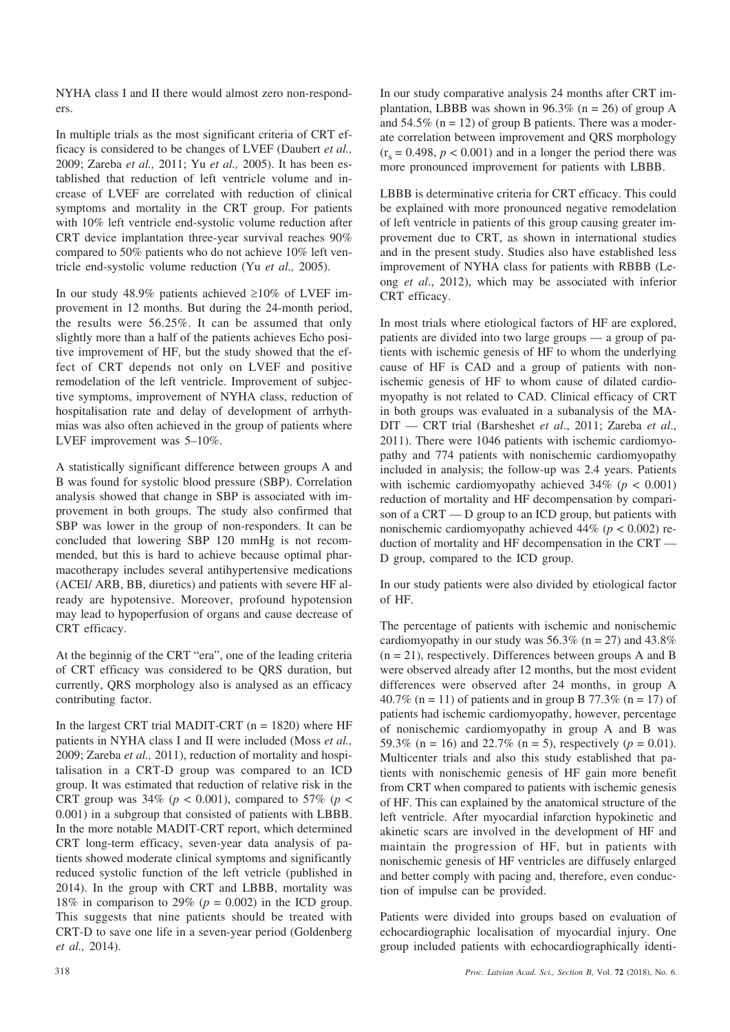NYHA class I and II there would almost zero non-responders.

In multiple trials as the most significant criteria of CRT efficacy is considered to be changes of LVEF (Daubert *et al.,* 2009; Zareba *et al.,* 2011; Yu *et al.,* 2005). It has been established that reduction of left ventricle volume and increase of LVEF are correlated with reduction of clinical symptoms and mortality in the CRT group. For patients with 10% left ventricle end-systolic volume reduction after CRT device implantation three-year survival reaches 90% compared to 50% patients who do not achieve 10% left ventricle end-systolic volume reduction (Yu *et al.,* 2005).

In our study 48.9% patients achieved  $\geq 10\%$  of LVEF improvement in 12 months. But during the 24-month period, the results were 56.25%. It can be assumed that only slightly more than a half of the patients achieves Echo positive improvement of HF, but the study showed that the effect of CRT depends not only on LVEF and positive remodelation of the left ventricle. Improvement of subjective symptoms, improvement of NYHA class, reduction of hospitalisation rate and delay of development of arrhythmias was also often achieved in the group of patients where LVEF improvement was 5–10%.

A statistically significant difference between groups A and B was found for systolic blood pressure (SBP). Correlation analysis showed that change in SBP is associated with improvement in both groups. The study also confirmed that SBP was lower in the group of non-responders. It can be concluded that lowering SBP 120 mmHg is not recommended, but this is hard to achieve because optimal pharmacotherapy includes several antihypertensive medications (ACEI/ ARB, BB, diuretics) and patients with severe HF already are hypotensive. Moreover, profound hypotension may lead to hypoperfusion of organs and cause decrease of CRT efficacy.

At the beginnig of the CRT "era", one of the leading criteria of CRT efficacy was considered to be QRS duration, but currently, QRS morphology also is analysed as an efficacy contributing factor.

In the largest CRT trial MADIT-CRT  $(n = 1820)$  where HF patients in NYHA class I and II were included (Moss *et al.,* 2009; Zareba *et al.,* 2011), reduction of mortality and hospitalisation in a CRT-D group was compared to an ICD group. It was estimated that reduction of relative risk in the CRT group was  $34\%$  ( $p < 0.001$ ), compared to  $57\%$  ( $p <$ 0.001) in a subgroup that consisted of patients with LBBB. In the more notable MADIT-CRT report, which determined CRT long-term efficacy, seven-year data analysis of patients showed moderate clinical symptoms and significantly reduced systolic function of the left vetricle (published in 2014). In the group with CRT and LBBB, mortality was 18% in comparison to 29% ( $p = 0.002$ ) in the ICD group. This suggests that nine patients should be treated with CRT-D to save one life in a seven-year period (Goldenberg *et al.,* 2014).

In our study comparative analysis 24 months after CRT implantation, LBBB was shown in 96.3% ( $n = 26$ ) of group A and  $54.5\%$  (n = 12) of group B patients. There was a moderate correlation between improvement and QRS morphology  $(r<sub>s</sub> = 0.498, p < 0.001)$  and in a longer the period there was more pronounced improvement for patients with LBBB.

LBBB is determinative criteria for CRT efficacy. This could be explained with more pronounced negative remodelation of left ventricle in patients of this group causing greater improvement due to CRT, as shown in international studies and in the present study. Studies also have established less improvement of NYHA class for patients with RBBB (Leong *et al*., 2012), which may be associated with inferior CRT efficacy.

In most trials where etiological factors of HF are explored, patients are divided into two large groups — a group of patients with ischemic genesis of HF to whom the underlying cause of HF is CAD and a group of patients with nonischemic genesis of HF to whom cause of dilated cardiomyopathy is not related to CAD. Clinical efficacy of CRT in both groups was evaluated in a subanalysis of the MA-DIT — CRT trial (Barsheshet *et al*., 2011; Zareba *et al*., 2011). There were 1046 patients with ischemic cardiomyopathy and 774 patients with nonischemic cardiomyopathy included in analysis; the follow-up was 2.4 years. Patients with ischemic cardiomyopathy achieved  $34\%$  ( $p < 0.001$ ) reduction of mortality and HF decompensation by comparison of a CRT — D group to an ICD group, but patients with nonischemic cardiomyopathy achieved 44% (*p* < 0.002) reduction of mortality and HF decompensation in the CRT — D group, compared to the ICD group.

In our study patients were also divided by etiological factor of HF.

The percentage of patients with ischemic and nonischemic cardiomyopathy in our study was  $56.3\%$  (n = 27) and  $43.8\%$  $(n = 21)$ , respectively. Differences between groups A and B were observed already after 12 months, but the most evident differences were observed after 24 months, in group A 40.7% (n = 11) of patients and in group B 77.3% (n = 17) of patients had ischemic cardiomyopathy, however, percentage of nonischemic cardiomyopathy in group A and B was 59.3% (n = 16) and 22.7% (n = 5), respectively ( $p = 0.01$ ). Multicenter trials and also this study established that patients with nonischemic genesis of HF gain more benefit from CRT when compared to patients with ischemic genesis of HF. This can explained by the anatomical structure of the left ventricle. After myocardial infarction hypokinetic and akinetic scars are involved in the development of HF and maintain the progression of HF, but in patients with nonischemic genesis of HF ventricles are diffusely enlarged and better comply with pacing and, therefore, even conduction of impulse can be provided.

Patients were divided into groups based on evaluation of echocardiographic localisation of myocardial injury. One group included patients with echocardiographically identi-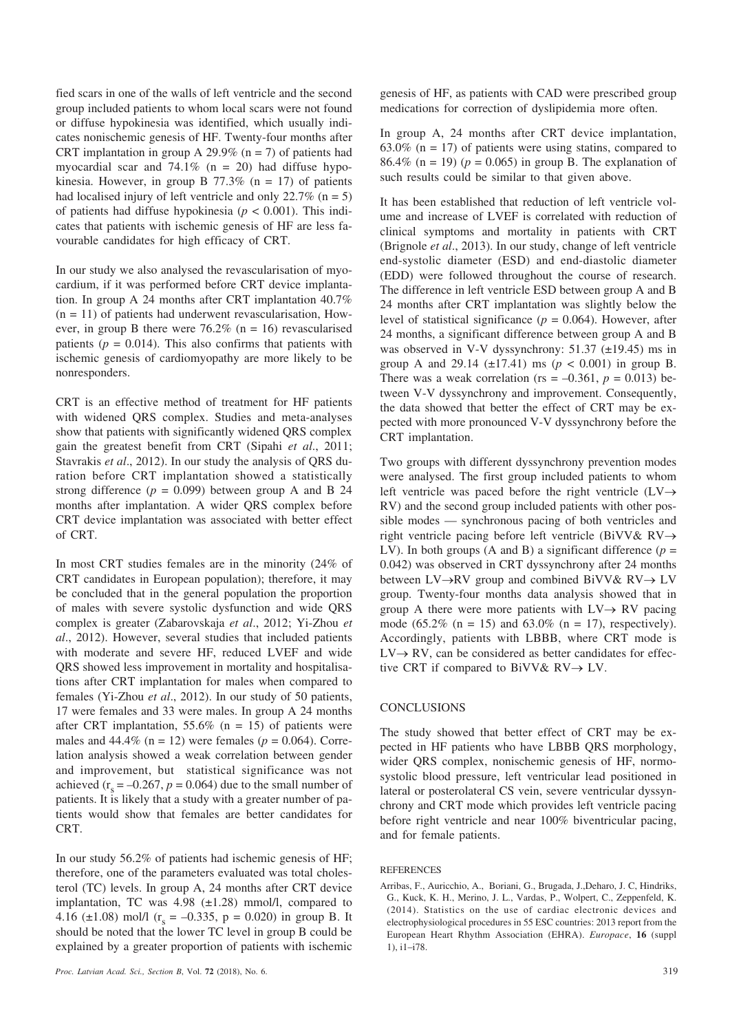fied scars in one of the walls of left ventricle and the second group included patients to whom local scars were not found or diffuse hypokinesia was identified, which usually indicates nonischemic genesis of HF. Twenty-four months after CRT implantation in group A 29.9% ( $n = 7$ ) of patients had myocardial scar and  $74.1\%$  (n = 20) had diffuse hypokinesia. However, in group B  $77.3\%$  (n = 17) of patients had localised injury of left ventricle and only  $22.7\%$  (n = 5) of patients had diffuse hypokinesia ( $p < 0.001$ ). This indicates that patients with ischemic genesis of HF are less favourable candidates for high efficacy of CRT.

In our study we also analysed the revascularisation of myocardium, if it was performed before CRT device implantation. In group A 24 months after CRT implantation 40.7%  $(n = 11)$  of patients had underwent revascularisation, However, in group B there were  $76.2\%$  (n = 16) revascularised patients  $(p = 0.014)$ . This also confirms that patients with ischemic genesis of cardiomyopathy are more likely to be nonresponders.

CRT is an effective method of treatment for HF patients with widened QRS complex. Studies and meta-analyses show that patients with significantly widened QRS complex gain the greatest benefit from CRT (Sipahi *et al*., 2011; Stavrakis *et al*., 2012). In our study the analysis of QRS duration before CRT implantation showed a statistically strong difference  $(p = 0.099)$  between group A and B 24 months after implantation. A wider QRS complex before CRT device implantation was associated with better effect of CRT.

In most CRT studies females are in the minority (24% of CRT candidates in European population); therefore, it may be concluded that in the general population the proportion of males with severe systolic dysfunction and wide QRS complex is greater (Zabarovskaja *et al*., 2012; Yi-Zhou *et al*., 2012). However, several studies that included patients with moderate and severe HF, reduced LVEF and wide QRS showed less improvement in mortality and hospitalisations after CRT implantation for males when compared to females (Yi-Zhou *et al*., 2012). In our study of 50 patients, 17 were females and 33 were males. In group A 24 months after CRT implantation, 55.6% (n = 15) of patients were males and  $44.4\%$  (n = 12) were females ( $p = 0.064$ ). Correlation analysis showed a weak correlation between gender and improvement, but statistical significance was not achieved  $(r_s = -0.267, p = 0.064)$  due to the small number of patients. It is likely that a study with a greater number of patients would show that females are better candidates for CRT.

In our study 56.2% of patients had ischemic genesis of HF; therefore, one of the parameters evaluated was total cholesterol (TC) levels. In group A, 24 months after CRT device implantation, TC was  $4.98$  ( $\pm 1.28$ ) mmol/l, compared to 4.16 ( $\pm$ 1.08) mol/l ( $r_s$  = -0.335, p = 0.020) in group B. It should be noted that the lower TC level in group B could be explained by a greater proportion of patients with ischemic genesis of HF, as patients with CAD were prescribed group medications for correction of dyslipidemia more often.

In group A, 24 months after CRT device implantation, 63.0% ( $n = 17$ ) of patients were using statins, compared to 86.4% ( $n = 19$ ) ( $p = 0.065$ ) in group B. The explanation of such results could be similar to that given above.

It has been established that reduction of left ventricle volume and increase of LVEF is correlated with reduction of clinical symptoms and mortality in patients with CRT (Brignole *et al*., 2013). In our study, change of left ventricle end-systolic diameter (ESD) and end-diastolic diameter (EDD) were followed throughout the course of research. The difference in left ventricle ESD between group A and B 24 months after CRT implantation was slightly below the level of statistical significance ( $p = 0.064$ ). However, after 24 months, a significant difference between group A and B was observed in V-V dyssynchrony: 51.37 (±19.45) ms in group A and 29.14 ( $\pm$ 17.41) ms ( $p < 0.001$ ) in group B. There was a weak correlation ( $rs = -0.361$ ,  $p = 0.013$ ) between V-V dyssynchrony and improvement. Consequently, the data showed that better the effect of CRT may be expected with more pronounced V-V dyssynchrony before the CRT implantation.

Two groups with different dyssynchrony prevention modes were analysed. The first group included patients to whom left ventricle was paced before the right ventricle  $(LV \rightarrow$ RV) and the second group included patients with other possible modes — synchronous pacing of both ventricles and right ventricle pacing before left ventricle (BiVV& RV $\rightarrow$ LV). In both groups (A and B) a significant difference ( $p =$ 0.042) was observed in CRT dyssynchrony after 24 months between  $LV\rightarrow RV$  group and combined BiVV&  $RV \rightarrow LV$ group. Twenty-four months data analysis showed that in group A there were more patients with  $LV \rightarrow RV$  pacing mode (65.2% (n = 15) and 63.0% (n = 17), respectively). Accordingly, patients with LBBB, where CRT mode is  $LV \rightarrow RV$ , can be considered as better candidates for effective CRT if compared to BiVV&  $RV \rightarrow LV$ .

### **CONCLUSIONS**

The study showed that better effect of CRT may be expected in HF patients who have LBBB QRS morphology, wider QRS complex, nonischemic genesis of HF, normosystolic blood pressure, left ventricular lead positioned in lateral or posterolateral CS vein, severe ventricular dyssynchrony and CRT mode which provides left ventricle pacing before right ventricle and near 100% biventricular pacing, and for female patients.

#### **REFERENCES**

Arribas, F., Auricchio, A., Boriani, G., Brugada, J.,Deharo, J. C, Hindriks, G., Kuck, K. H., Merino, J. L., Vardas, P., Wolpert, C., Zeppenfeld, K. (2014). Statistics on the use of cardiac electronic devices and electrophysiological procedures in 55 ESC countries: 2013 report from the European Heart Rhythm Association (EHRA). *Europace*, **16** (suppl 1), i1–i78.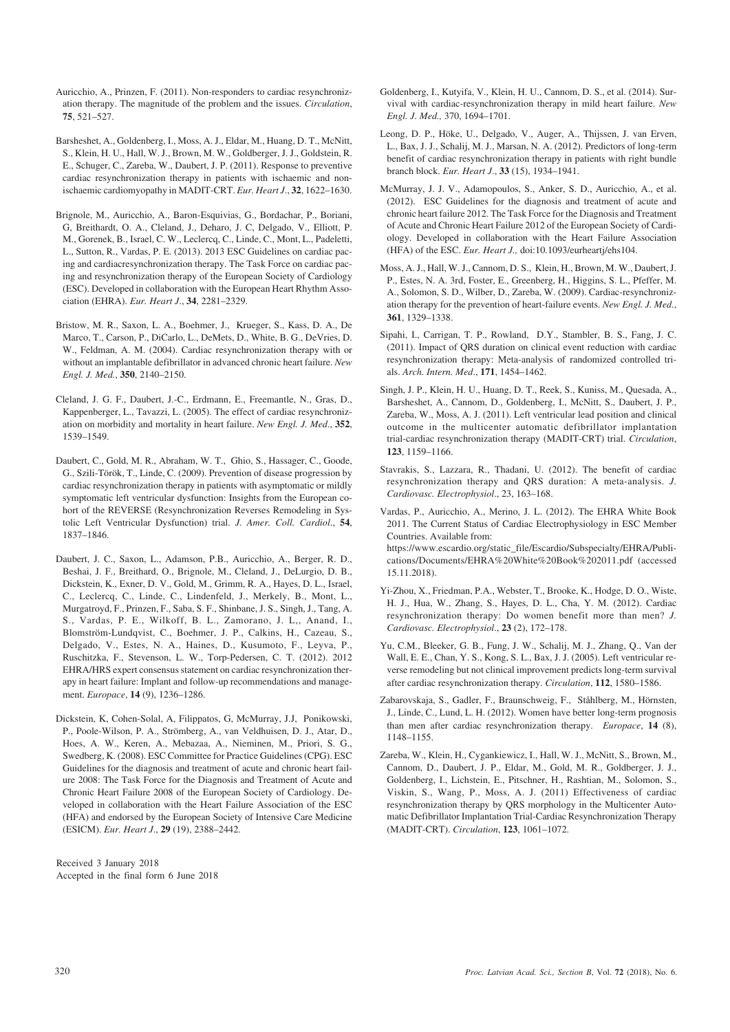- Auricchio, A., Prinzen, F. (2011). Non-responders to cardiac resynchronization therapy. The magnitude of the problem and the issues. *Circulation*, **75**, 521–527.
- Barsheshet, A., Goldenberg, I., Moss, A. J., Eldar, M., Huang, D. T., McNitt, S., Klein, H. U., Hall, W. J., Brown, M. W., Goldberger, J. J., Goldstein, R. E., Schuger, C., Zareba, W., Daubert, J. P. (2011). Response to preventive cardiac resynchronization therapy in patients with ischaemic and nonischaemic cardiomyopathy in MADIT-CRT. *Eur. Heart J*., **32**, 1622–1630.
- Brignole, M., Auricchio, A., Baron-Esquivias, G., Bordachar, P., Boriani, G, Breithardt, O. A., Cleland, J., Deharo, J. C, Delgado, V., Elliott, P. M., Gorenek, B., Israel, C. W., Leclercq, C., Linde, C., Mont, L., Padeletti, L., Sutton, R., Vardas, P. E. (2013). 2013 ESC Guidelines on cardiac pacing and cardiacresynchronization therapy. The Task Force on cardiac pacing and resynchronization therapy of the European Society of Cardiology (ESC). Developed in collaboration with the European Heart Rhythm Association (EHRA). *Eur. Heart J*., **34**, 2281–2329.
- Bristow, M. R., Saxon, L. A., Boehmer, J., Krueger, S., Kass, D. A., De Marco, T., Carson, P., DiCarlo, L., DeMets, D., White, B. G., DeVries, D. W., Feldman, A. M. (2004). Cardiac resynchronization therapy with or without an implantable defibrillator in advanced chronic heart failure. *New Engl. J. Med.*, **350**, 2140–2150.
- Cleland, J. G. F., Daubert, J.-C., Erdmann, E., Freemantle, N., Gras, D., Kappenberger, L., Tavazzi, L. (2005). The effect of cardiac resynchronization on morbidity and mortality in heart failure. *New Engl. J. Med*., **352**, 1539–1549.
- Daubert, C., Gold, M. R., Abraham, W. T., Ghio, S., Hassager, C., Goode, G., Szili-Török, T., Linde, C. (2009). Prevention of disease progression by cardiac resynchronization therapy in patients with asymptomatic or mildly symptomatic left ventricular dysfunction: Insights from the European cohort of the REVERSE (Resynchronization Reverses Remodeling in Systolic Left Ventricular Dysfunction) trial. *J. Amer. Coll. Cardiol*., **54**, 1837–1846.
- Daubert, J. C., Saxon, L., Adamson, P.B., Auricchio, A., Berger, R. D., Beshai, J. F., Breithard, O., Brignole, M., Cleland, J., DeLurgio, D. B., Dickstein, K., Exner, D. V., Gold, M., Grimm, R. A., Hayes, D. L., Israel, C., Leclercq, C., Linde, C., Lindenfeld, J., Merkely, B., Mont, L., Murgatroyd, F., Prinzen, F., Saba, S. F., Shinbane, J. S., Singh, J., Tang, A. S., Vardas, P. E., Wilkoff, B. L., Zamorano, J. L,, Anand, I., Blomström-Lundqvist, C., Boehmer, J. P., Calkins, H., Cazeau, S., Delgado, V., Estes, N. A., Haines, D., Kusumoto, F., Leyva, P., Ruschitzka, F., Stevenson, L. W., Torp-Pedersen, C. T. (2012). 2012 EHRA/HRS expert consensus statement on cardiac resynchronization therapy in heart failure: Implant and follow-up recommendations and management. *Europace*, **14** (9), 1236–1286.
- Dickstein, K, Cohen-Solal, A, Filippatos, G, McMurray, J.J, Ponikowski, P., Poole-Wilson, P. A., Strömberg, A., van Veldhuisen, D. J., Atar, D., Hoes, A. W., Keren, A., Mebazaa, A., Nieminen, M., Priori, S. G., Swedberg, K. (2008). ESC Committee for Practice Guidelines (CPG). ESC Guidelines for the diagnosis and treatment of acute and chronic heart failure 2008: The Task Force for the Diagnosis and Treatment of Acute and Chronic Heart Failure 2008 of the European Society of Cardiology. Developed in collaboration with the Heart Failure Association of the ESC (HFA) and endorsed by the European Society of Intensive Care Medicine (ESICM). *Eur. Heart J*., **29** (19), 2388–2442.

Received 3 January 2018 Accepted in the final form 6 June 2018

- Goldenberg, I., Kutyifa, V., Klein, H. U., Cannom, D. S., et al. (2014). Survival with cardiac-resynchronization therapy in mild heart failure. *New Engl. J. Med.,* 370, 1694–1701.
- Leong, D. P., Höke, U., Delgado, V., Auger, A., Thijssen, J. van Erven, L., Bax, J. J., Schalij, M. J., Marsan, N. A. (2012). Predictors of long-term benefit of cardiac resynchronization therapy in patients with right bundle branch block. *Eur. Heart J*., **33** (15), 1934–1941.
- McMurray, J. J. V., Adamopoulos, S., Anker, S. D., Auricchio, A., et al. (2012). ESC Guidelines for the diagnosis and treatment of acute and chronic heart failure 2012. The Task Force for the Diagnosis and Treatment of Acute and Chronic Heart Failure 2012 of the European Society of Cardiology. Developed in collaboration with the Heart Failure Association (HFA) of the ESC. *Eur. Heart J.,* doi:10.1093/eurheartj/ehs104.
- Moss, A. J., Hall, W. J., Cannom, D. S., Klein, H., Brown, M. W., Daubert, J. P., Estes, N. A. 3rd, Foster, E., Greenberg, H., Higgins, S. L., Pfeffer, M. A., Solomon, S. D., Wilber, D., Zareba, W. (2009). Cardiac-resynchronization therapy for the prevention of heart-failure events. *New Engl. J. Med*., **361**, 1329–1338.
- Sipahi, I., Carrigan, T. P., Rowland, D.Y., Stambler, B. S., Fang, J. C. (2011). Impact of QRS duration on clinical event reduction with cardiac resynchronization therapy: Meta-analysis of randomized controlled trials. *Arch. Intern. Med*., **171**, 1454–1462.
- Singh, J. P., Klein, H. U., Huang, D. T., Reek, S., Kuniss, M., Quesada, A., Barsheshet, A., Cannom, D., Goldenberg, I., McNitt, S., Daubert, J. P., Zareba, W., Moss, A. J. (2011). Left ventricular lead position and clinical outcome in the multicenter automatic defibrillator implantation trial-cardiac resynchronization therapy (MADIT-CRT) trial. *Circulation*, **123**, 1159–1166.
- Stavrakis, S., Lazzara, R., Thadani, U. (2012). The benefit of cardiac resynchronization therapy and QRS duration: A meta-analysis. *J. Cardiovasc. Electrophysiol*., 23, 163–168.

Vardas, P., Auricchio, A., Merino, J. L. (2012). The EHRA White Book 2011. The Current Status of Cardiac Electrophysiology in ESC Member Countries. Available from: https://www.escardio.org/static\_file/Escardio/Subspecialty/EHRA/Publications/Documents/EHRA%20White%20Book%202011.pdf (accessed

Yi-Zhou, X., Friedman, P.A., Webster, T., Brooke, K., Hodge, D. O., Wiste, H. J., Hua, W., Zhang, S., Hayes, D. L., Cha, Y. M. (2012). Cardiac resynchronization therapy: Do women benefit more than men? *J. Cardiovasc. Electrophysiol*., **23** (2), 172–178.

15.11.2018).

- Yu, C.M., Bleeker, G. B., Fung, J. W., Schalij, M. J., Zhang, Q., Van der Wall, E. E., Chan, Y. S., Kong, S. L., Bax, J. J. (2005). Left ventricular reverse remodeling but not clinical improvement predicts long-term survival after cardiac resynchronization therapy. *Circulation*, **112**, 1580–1586.
- Zabarovskaja, S., Gadler, F., Braunschweig, F., Ståhlberg, M., Hörnsten, J., Linde, C., Lund, L. H. (2012). Women have better long-term prognosis than men after cardiac resynchronization therapy. *Europace*, **14** (8), 1148–1155.
- Zareba, W., Klein, H., Cygankiewicz, I., Hall, W. J., McNitt, S., Brown, M., Cannom, D., Daubert, J. P., Eldar, M., Gold, M. R., Goldberger, J. J., Goldenberg, I., Lichstein, E., Pitschner, H., Rashtian, M., Solomon, S., Viskin, S., Wang, P., Moss, A. J. (2011) Effectiveness of cardiac resynchronization therapy by QRS morphology in the Multicenter Automatic Defibrillator Implantation Trial-Cardiac Resynchronization Therapy (MADIT-CRT). *Circulation*, **123**, 1061–1072.